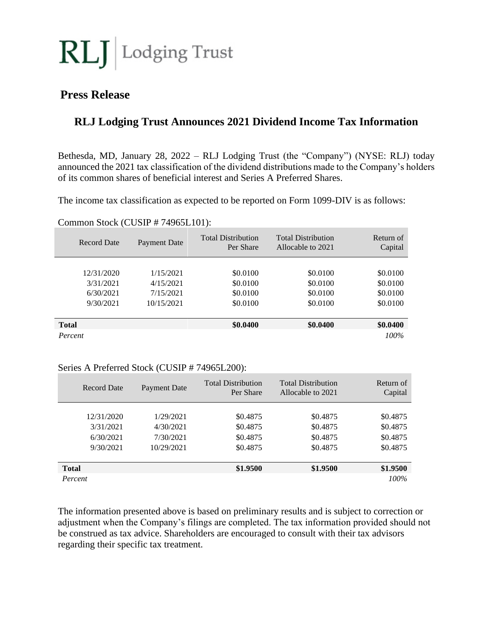

# **Press Release**

# **RLJ Lodging Trust Announces 2021 Dividend Income Tax Information**

Bethesda, MD, January 28, 2022 – RLJ Lodging Trust (the "Company") (NYSE: RLJ) today announced the 2021 tax classification of the dividend distributions made to the Company's holders of its common shares of beneficial interest and Series A Preferred Shares.

The income tax classification as expected to be reported on Form 1099-DIV is as follows:

| <b>Record Date</b> | Payment Date | <b>Total Distribution</b><br>Per Share | <b>Total Distribution</b><br>Allocable to 2021 | Return of<br>Capital |
|--------------------|--------------|----------------------------------------|------------------------------------------------|----------------------|
|                    |              |                                        |                                                |                      |
| 12/31/2020         | 1/15/2021    | \$0.0100                               | \$0.0100                                       | \$0.0100             |
| 3/31/2021          | 4/15/2021    | \$0.0100                               | \$0.0100                                       | \$0.0100             |
| 6/30/2021          | 7/15/2021    | \$0.0100                               | \$0.0100                                       | \$0.0100             |
| 9/30/2021          | 10/15/2021   | \$0.0100                               | \$0.0100                                       | \$0.0100             |
|                    |              |                                        |                                                |                      |
| <b>Total</b>       |              | \$0.0400                               | \$0.0400                                       | \$0.0400             |
| Percent            |              |                                        |                                                | $100\%$              |

#### Common Stock (CUSIP # 74965L101):

#### Series A Preferred Stock (CUSIP # 74965L200):

| <b>Record Date</b> | Payment Date | <b>Total Distribution</b><br>Per Share | <b>Total Distribution</b><br>Allocable to 2021 | Return of<br>Capital |
|--------------------|--------------|----------------------------------------|------------------------------------------------|----------------------|
| 12/31/2020         | 1/29/2021    | \$0.4875                               | \$0.4875                                       | \$0.4875             |
| 3/31/2021          | 4/30/2021    | \$0.4875                               | \$0.4875                                       | \$0.4875             |
| 6/30/2021          | 7/30/2021    | \$0.4875                               | \$0.4875                                       | \$0.4875             |
| 9/30/2021          | 10/29/2021   | \$0.4875                               | \$0.4875                                       | \$0.4875             |
|                    |              |                                        |                                                |                      |
| <b>Total</b>       |              | \$1.9500                               | \$1.9500                                       | \$1.9500             |
| Percent            |              |                                        |                                                | 100%                 |

The information presented above is based on preliminary results and is subject to correction or adjustment when the Company's filings are completed. The tax information provided should not be construed as tax advice. Shareholders are encouraged to consult with their tax advisors regarding their specific tax treatment.